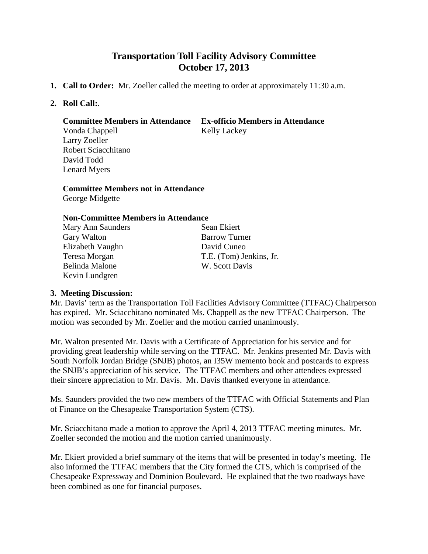# **Transportation Toll Facility Advisory Committee October 17, 2013**

- **1. Call to Order:** Mr. Zoeller called the meeting to order at approximately 11:30 a.m.
- **2. Roll Call:**.

### **Committee Members in Attendance Ex-officio Members in Attendance**

Vonda Chappell Kelly Lackey Larry Zoeller Robert Sciacchitano David Todd Lenard Myers

**Committee Members not in Attendance** George Midgette

### **Non-Committee Members in Attendance**

| Mary Ann Saunders | Sean Ekiert             |
|-------------------|-------------------------|
| Gary Walton       | <b>Barrow Turner</b>    |
| Elizabeth Vaughn  | David Cuneo             |
| Teresa Morgan     | T.E. (Tom) Jenkins, Jr. |
| Belinda Malone    | W. Scott Davis          |
| Kevin Lundgren    |                         |
|                   |                         |

## **3. Meeting Discussion:**

Mr. Davis' term as the Transportation Toll Facilities Advisory Committee (TTFAC) Chairperson has expired. Mr. Sciacchitano nominated Ms. Chappell as the new TTFAC Chairperson. The motion was seconded by Mr. Zoeller and the motion carried unanimously.

Mr. Walton presented Mr. Davis with a Certificate of Appreciation for his service and for providing great leadership while serving on the TTFAC. Mr. Jenkins presented Mr. Davis with South Norfolk Jordan Bridge (SNJB) photos, an I35W memento book and postcards to express the SNJB's appreciation of his service. The TTFAC members and other attendees expressed their sincere appreciation to Mr. Davis. Mr. Davis thanked everyone in attendance.

Ms. Saunders provided the two new members of the TTFAC with Official Statements and Plan of Finance on the Chesapeake Transportation System (CTS).

Mr. Sciacchitano made a motion to approve the April 4, 2013 TTFAC meeting minutes. Mr. Zoeller seconded the motion and the motion carried unanimously.

Mr. Ekiert provided a brief summary of the items that will be presented in today's meeting. He also informed the TTFAC members that the City formed the CTS, which is comprised of the Chesapeake Expressway and Dominion Boulevard. He explained that the two roadways have been combined as one for financial purposes.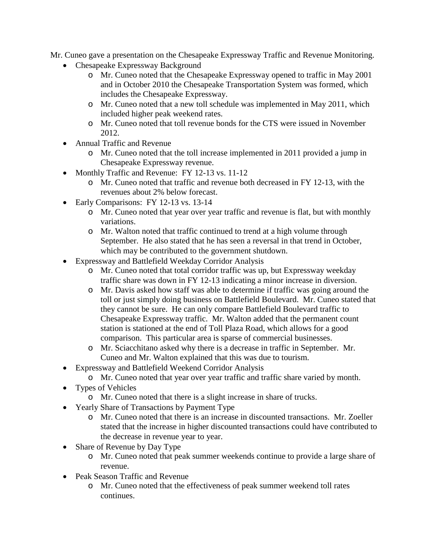Mr. Cuneo gave a presentation on the Chesapeake Expressway Traffic and Revenue Monitoring.

- Chesapeake Expressway Background
	- o Mr. Cuneo noted that the Chesapeake Expressway opened to traffic in May 2001 and in October 2010 the Chesapeake Transportation System was formed, which includes the Chesapeake Expressway.
	- o Mr. Cuneo noted that a new toll schedule was implemented in May 2011, which included higher peak weekend rates.
	- o Mr. Cuneo noted that toll revenue bonds for the CTS were issued in November 2012.
- Annual Traffic and Revenue
	- o Mr. Cuneo noted that the toll increase implemented in 2011 provided a jump in Chesapeake Expressway revenue.
- Monthly Traffic and Revenue: FY 12-13 vs. 11-12
	- o Mr. Cuneo noted that traffic and revenue both decreased in FY 12-13, with the revenues about 2% below forecast.
- Early Comparisons: FY 12-13 vs. 13-14
	- o Mr. Cuneo noted that year over year traffic and revenue is flat, but with monthly variations.
	- o Mr. Walton noted that traffic continued to trend at a high volume through September. He also stated that he has seen a reversal in that trend in October, which may be contributed to the government shutdown.
- Expressway and Battlefield Weekday Corridor Analysis
	- o Mr. Cuneo noted that total corridor traffic was up, but Expressway weekday traffic share was down in FY 12-13 indicating a minor increase in diversion.
	- o Mr. Davis asked how staff was able to determine if traffic was going around the toll or just simply doing business on Battlefield Boulevard. Mr. Cuneo stated that they cannot be sure. He can only compare Battlefield Boulevard traffic to Chesapeake Expressway traffic. Mr. Walton added that the permanent count station is stationed at the end of Toll Plaza Road, which allows for a good comparison. This particular area is sparse of commercial businesses.
	- o Mr. Sciacchitano asked why there is a decrease in traffic in September. Mr. Cuneo and Mr. Walton explained that this was due to tourism.
- Expressway and Battlefield Weekend Corridor Analysis
	- o Mr. Cuneo noted that year over year traffic and traffic share varied by month.
- Types of Vehicles
	- o Mr. Cuneo noted that there is a slight increase in share of trucks.
- Yearly Share of Transactions by Payment Type
	- o Mr. Cuneo noted that there is an increase in discounted transactions. Mr. Zoeller stated that the increase in higher discounted transactions could have contributed to the decrease in revenue year to year.
- Share of Revenue by Day Type
	- o Mr. Cuneo noted that peak summer weekends continue to provide a large share of revenue.
- Peak Season Traffic and Revenue
	- o Mr. Cuneo noted that the effectiveness of peak summer weekend toll rates continues.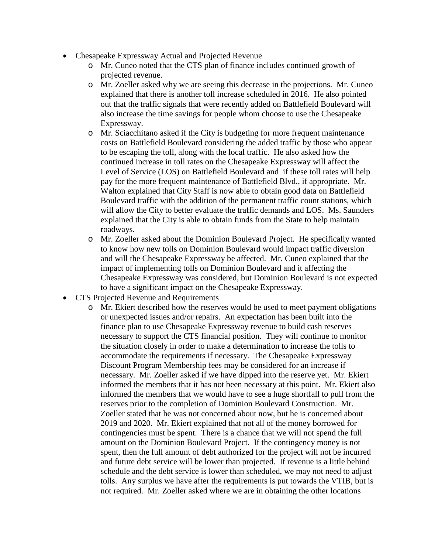- Chesapeake Expressway Actual and Projected Revenue
	- o Mr. Cuneo noted that the CTS plan of finance includes continued growth of projected revenue.
	- o Mr. Zoeller asked why we are seeing this decrease in the projections. Mr. Cuneo explained that there is another toll increase scheduled in 2016. He also pointed out that the traffic signals that were recently added on Battlefield Boulevard will also increase the time savings for people whom choose to use the Chesapeake Expressway.
	- o Mr. Sciacchitano asked if the City is budgeting for more frequent maintenance costs on Battlefield Boulevard considering the added traffic by those who appear to be escaping the toll, along with the local traffic. He also asked how the continued increase in toll rates on the Chesapeake Expressway will affect the Level of Service (LOS) on Battlefield Boulevard and if these toll rates will help pay for the more frequent maintenance of Battlefield Blvd., if appropriate. Mr. Walton explained that City Staff is now able to obtain good data on Battlefield Boulevard traffic with the addition of the permanent traffic count stations, which will allow the City to better evaluate the traffic demands and LOS. Ms. Saunders explained that the City is able to obtain funds from the State to help maintain roadways.
	- o Mr. Zoeller asked about the Dominion Boulevard Project. He specifically wanted to know how new tolls on Dominion Boulevard would impact traffic diversion and will the Chesapeake Expressway be affected. Mr. Cuneo explained that the impact of implementing tolls on Dominion Boulevard and it affecting the Chesapeake Expressway was considered, but Dominion Boulevard is not expected to have a significant impact on the Chesapeake Expressway.
- CTS Projected Revenue and Requirements
	- o Mr. Ekiert described how the reserves would be used to meet payment obligations or unexpected issues and/or repairs. An expectation has been built into the finance plan to use Chesapeake Expressway revenue to build cash reserves necessary to support the CTS financial position. They will continue to monitor the situation closely in order to make a determination to increase the tolls to accommodate the requirements if necessary. The Chesapeake Expressway Discount Program Membership fees may be considered for an increase if necessary. Mr. Zoeller asked if we have dipped into the reserve yet. Mr. Ekiert informed the members that it has not been necessary at this point. Mr. Ekiert also informed the members that we would have to see a huge shortfall to pull from the reserves prior to the completion of Dominion Boulevard Construction. Mr. Zoeller stated that he was not concerned about now, but he is concerned about 2019 and 2020. Mr. Ekiert explained that not all of the money borrowed for contingencies must be spent. There is a chance that we will not spend the full amount on the Dominion Boulevard Project. If the contingency money is not spent, then the full amount of debt authorized for the project will not be incurred and future debt service will be lower than projected. If revenue is a little behind schedule and the debt service is lower than scheduled, we may not need to adjust tolls. Any surplus we have after the requirements is put towards the VTIB, but is not required. Mr. Zoeller asked where we are in obtaining the other locations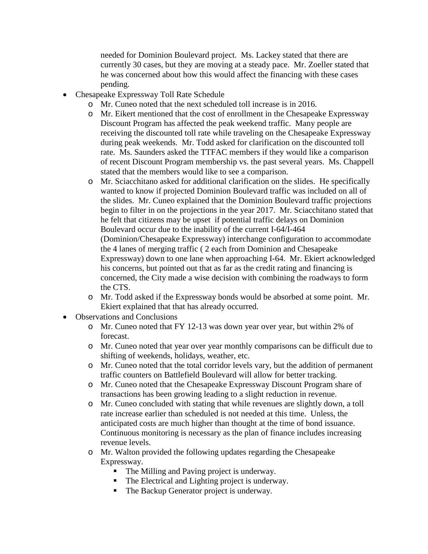needed for Dominion Boulevard project. Ms. Lackey stated that there are currently 30 cases, but they are moving at a steady pace. Mr. Zoeller stated that he was concerned about how this would affect the financing with these cases pending.

- Chesapeake Expressway Toll Rate Schedule
	- o Mr. Cuneo noted that the next scheduled toll increase is in 2016.
	- o Mr. Eikert mentioned that the cost of enrollment in the Chesapeake Expressway Discount Program has affected the peak weekend traffic. Many people are receiving the discounted toll rate while traveling on the Chesapeake Expressway during peak weekends. Mr. Todd asked for clarification on the discounted toll rate. Ms. Saunders asked the TTFAC members if they would like a comparison of recent Discount Program membership vs. the past several years. Ms. Chappell stated that the members would like to see a comparison.
	- o Mr. Sciacchitano asked for additional clarification on the slides. He specifically wanted to know if projected Dominion Boulevard traffic was included on all of the slides. Mr. Cuneo explained that the Dominion Boulevard traffic projections begin to filter in on the projections in the year 2017. Mr. Sciacchitano stated that he felt that citizens may be upset if potential traffic delays on Dominion Boulevard occur due to the inability of the current I-64/I-464 (Dominion/Chesapeake Expressway) interchange configuration to accommodate the 4 lanes of merging traffic ( 2 each from Dominion and Chesapeake Expressway) down to one lane when approaching I-64. Mr. Ekiert acknowledged his concerns, but pointed out that as far as the credit rating and financing is concerned, the City made a wise decision with combining the roadways to form the CTS.
	- o Mr. Todd asked if the Expressway bonds would be absorbed at some point. Mr. Ekiert explained that that has already occurred.
- Observations and Conclusions
	- o Mr. Cuneo noted that FY 12-13 was down year over year, but within 2% of forecast.
	- o Mr. Cuneo noted that year over year monthly comparisons can be difficult due to shifting of weekends, holidays, weather, etc.
	- o Mr. Cuneo noted that the total corridor levels vary, but the addition of permanent traffic counters on Battlefield Boulevard will allow for better tracking.
	- o Mr. Cuneo noted that the Chesapeake Expressway Discount Program share of transactions has been growing leading to a slight reduction in revenue.
	- o Mr. Cuneo concluded with stating that while revenues are slightly down, a toll rate increase earlier than scheduled is not needed at this time. Unless, the anticipated costs are much higher than thought at the time of bond issuance. Continuous monitoring is necessary as the plan of finance includes increasing revenue levels.
	- o Mr. Walton provided the following updates regarding the Chesapeake Expressway.
		- The Milling and Paving project is underway.
		- The Electrical and Lighting project is underway.
		- The Backup Generator project is underway.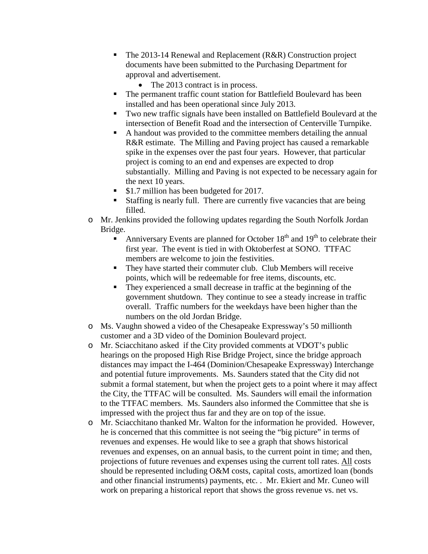- The 2013-14 Renewal and Replacement (R&R) Construction project documents have been submitted to the Purchasing Department for approval and advertisement.
	- The 2013 contract is in process.
- The permanent traffic count station for Battlefield Boulevard has been installed and has been operational since July 2013.
- Two new traffic signals have been installed on Battlefield Boulevard at the intersection of Benefit Road and the intersection of Centerville Turnpike.
- A handout was provided to the committee members detailing the annual R&R estimate. The Milling and Paving project has caused a remarkable spike in the expenses over the past four years. However, that particular project is coming to an end and expenses are expected to drop substantially. Milling and Paving is not expected to be necessary again for the next 10 years.
- \$1.7 million has been budgeted for 2017.
- Staffing is nearly full. There are currently five vacancies that are being filled.
- o Mr. Jenkins provided the following updates regarding the South Norfolk Jordan Bridge.
	- Anniversary Events are planned for October  $18<sup>th</sup>$  and  $19<sup>th</sup>$  to celebrate their first year. The event is tied in with Oktoberfest at SONO. TTFAC members are welcome to join the festivities.
	- They have started their commuter club. Club Members will receive points, which will be redeemable for free items, discounts, etc.
	- They experienced a small decrease in traffic at the beginning of the government shutdown. They continue to see a steady increase in traffic overall. Traffic numbers for the weekdays have been higher than the numbers on the old Jordan Bridge.
- o Ms. Vaughn showed a video of the Chesapeake Expressway's 50 millionth customer and a 3D video of the Dominion Boulevard project.
- o Mr. Sciacchitano asked if the City provided comments at VDOT's public hearings on the proposed High Rise Bridge Project, since the bridge approach distances may impact the I-464 (Dominion/Chesapeake Expressway) Interchange and potential future improvements. Ms. Saunders stated that the City did not submit a formal statement, but when the project gets to a point where it may affect the City, the TTFAC will be consulted. Ms. Saunders will email the information to the TTFAC members. Ms. Saunders also informed the Committee that she is impressed with the project thus far and they are on top of the issue.
- o Mr. Sciacchitano thanked Mr. Walton for the information he provided. However, he is concerned that this committee is not seeing the "big picture" in terms of revenues and expenses. He would like to see a graph that shows historical revenues and expenses, on an annual basis, to the current point in time; and then, projections of future revenues and expenses using the current toll rates. All costs should be represented including O&M costs, capital costs, amortized loan (bonds and other financial instruments) payments, etc. . Mr. Ekiert and Mr. Cuneo will work on preparing a historical report that shows the gross revenue vs. net vs.